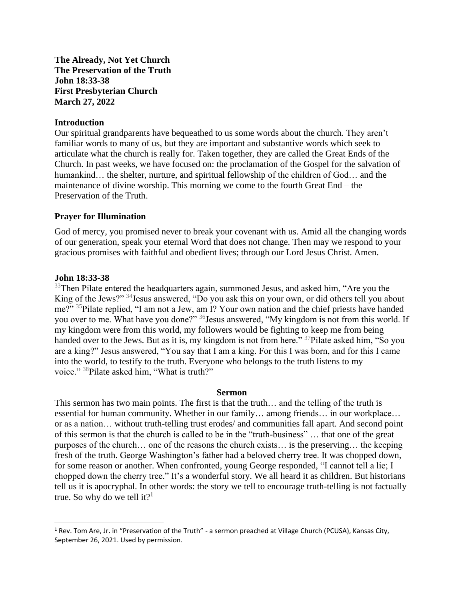**The Already, Not Yet Church The Preservation of the Truth John 18:33-38 First Presbyterian Church March 27, 2022**

## **Introduction**

Our spiritual grandparents have bequeathed to us some words about the church. They aren't familiar words to many of us, but they are important and substantive words which seek to articulate what the church is really for. Taken together, they are called the Great Ends of the Church. In past weeks, we have focused on: the proclamation of the Gospel for the salvation of humankind... the shelter, nurture, and spiritual fellowship of the children of God... and the maintenance of divine worship. This morning we come to the fourth Great End – the Preservation of the Truth.

## **Prayer for Illumination**

God of mercy, you promised never to break your covenant with us. Amid all the changing words of our generation, speak your eternal Word that does not change. Then may we respond to your gracious promises with faithful and obedient lives; through our Lord Jesus Christ. Amen.

## **John 18:33-38**

 $33$ Then Pilate entered the headquarters again, summoned Jesus, and asked him, "Are you the King of the Jews?" <sup>34</sup>Jesus answered, "Do you ask this on your own, or did others tell you about me?" <sup>35</sup>Pilate replied, "I am not a Jew, am I? Your own nation and the chief priests have handed you over to me. What have you done?" <sup>36</sup> Jesus answered, "My kingdom is not from this world. If my kingdom were from this world, my followers would be fighting to keep me from being handed over to the Jews. But as it is, my kingdom is not from here." <sup>37</sup>Pilate asked him, "So you are a king?" Jesus answered, "You say that I am a king. For this I was born, and for this I came into the world, to testify to the truth. Everyone who belongs to the truth listens to my voice." <sup>38</sup>Pilate asked him, "What is truth?"

## **Sermon**

This sermon has two main points. The first is that the truth… and the telling of the truth is essential for human community. Whether in our family… among friends… in our workplace… or as a nation… without truth-telling trust erodes/ and communities fall apart. And second point of this sermon is that the church is called to be in the "truth-business" … that one of the great purposes of the church… one of the reasons the church exists… is the preserving… the keeping fresh of the truth. George Washington's father had a beloved cherry tree. It was chopped down, for some reason or another. When confronted, young George responded, "I cannot tell a lie; I chopped down the cherry tree." It's a wonderful story. We all heard it as children. But historians tell us it is apocryphal. In other words: the story we tell to encourage truth-telling is not factually true. So why do we tell it?<sup>1</sup>

 $1$  Rev. Tom Are, Jr. in "Preservation of the Truth" - a sermon preached at Village Church (PCUSA), Kansas City, September 26, 2021. Used by permission.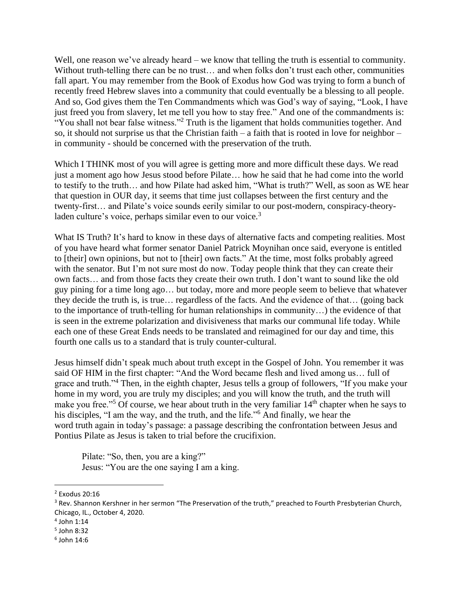Well, one reason we've already heard – we know that telling the truth is essential to community. Without truth-telling there can be no trust... and when folks don't trust each other, communities fall apart. You may remember from the Book of Exodus how God was trying to form a bunch of recently freed Hebrew slaves into a community that could eventually be a blessing to all people. And so, God gives them the Ten Commandments which was God's way of saying, "Look, I have just freed you from slavery, let me tell you how to stay free." And one of the commandments is: "You shall not bear false witness."<sup>2</sup> Truth is the ligament that holds communities together. And so, it should not surprise us that the Christian faith – a faith that is rooted in love for neighbor – in community - should be concerned with the preservation of the truth.

Which I THINK most of you will agree is getting more and more difficult these days. We read just a moment ago how Jesus stood before Pilate… how he said that he had come into the world to testify to the truth… and how Pilate had asked him, "What is truth?" Well, as soon as WE hear that question in OUR day, it seems that time just collapses between the first century and the twenty-first… and Pilate's voice sounds eerily similar to our post-modern, conspiracy-theoryladen culture's voice, perhaps similar even to our voice.<sup>3</sup>

What IS Truth? It's hard to know in these days of alternative facts and competing realities. Most of you have heard what former senator Daniel Patrick Moynihan once said, everyone is entitled to [their] own opinions, but not to [their] own facts." At the time, most folks probably agreed with the senator. But I'm not sure most do now. Today people think that they can create their own facts… and from those facts they create their own truth. I don't want to sound like the old guy pining for a time long ago… but today, more and more people seem to believe that whatever they decide the truth is, is true… regardless of the facts. And the evidence of that… (going back to the importance of truth-telling for human relationships in community…) the evidence of that is seen in the extreme polarization and divisiveness that marks our communal life today. While each one of these Great Ends needs to be translated and reimagined for our day and time, this fourth one calls us to a standard that is truly counter-cultural.

Jesus himself didn't speak much about truth except in the Gospel of John. You remember it was said OF HIM in the first chapter: "And the Word became flesh and lived among us… full of grace and truth."<sup>4</sup> Then, in the eighth chapter, Jesus tells a group of followers, "If you make your home in my word, you are truly my disciples; and you will know the truth, and the truth will make you free."<sup>5</sup> Of course, we hear about truth in the very familiar 14<sup>th</sup> chapter when he says to his disciples, "I am the way, and the truth, and the life."<sup>6</sup> And finally, we hear the word truth again in today's passage: a passage describing the confrontation between Jesus and Pontius Pilate as Jesus is taken to trial before the crucifixion.

Pilate: "So, then, you are a king?" Jesus: "You are the one saying I am a king.

<sup>2</sup> Exodus 20:16

<sup>&</sup>lt;sup>3</sup> Rev. Shannon Kershner in her sermon "The Preservation of the truth," preached to Fourth Presbyterian Church, Chicago, IL., October 4, 2020.

<sup>4</sup> John 1:14

<sup>5</sup> John 8:32

<sup>6</sup> John 14:6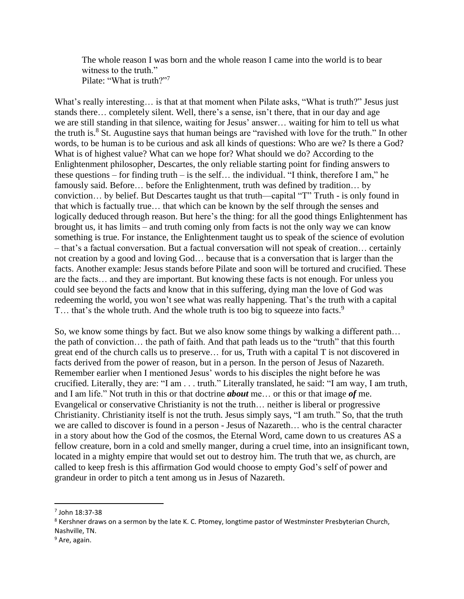The whole reason I was born and the whole reason I came into the world is to bear witness to the truth." Pilate: "What is truth?"

What's really interesting... is that at that moment when Pilate asks, "What is truth?" Jesus just stands there… completely silent. Well, there's a sense, isn't there, that in our day and age we are still standing in that silence, waiting for Jesus' answer… waiting for him to tell us what the truth is.<sup>8</sup> St. Augustine says that human beings are "ravished with love for the truth." In other words, to be human is to be curious and ask all kinds of questions: Who are we? Is there a God? What is of highest value? What can we hope for? What should we do? According to the Enlightenment philosopher, Descartes, the only reliable starting point for finding answers to these questions – for finding truth – is the self... the individual. "I think, therefore I am," he famously said. Before… before the Enlightenment, truth was defined by tradition... by conviction… by belief. But Descartes taught us that truth—capital "T" Truth - is only found in that which is factually true… that which can be known by the self through the senses and logically deduced through reason. But here's the thing: for all the good things Enlightenment has brought us, it has limits – and truth coming only from facts is not the only way we can know something is true. For instance, the Enlightenment taught us to speak of the science of evolution – that's a factual conversation. But a factual conversation will not speak of creation… certainly not creation by a good and loving God… because that is a conversation that is larger than the facts. Another example: Jesus stands before Pilate and soon will be tortured and crucified. These are the facts… and they are important. But knowing these facts is not enough. For unless you could see beyond the facts and know that in this suffering, dying man the love of God was redeeming the world, you won't see what was really happening. That's the truth with a capital T... that's the whole truth. And the whole truth is too big to squeeze into facts.<sup>9</sup>

So, we know some things by fact. But we also know some things by walking a different path… the path of conviction… the path of faith. And that path leads us to the "truth" that this fourth great end of the church calls us to preserve… for us, Truth with a capital T is not discovered in facts derived from the power of reason, but in a person. In the person of Jesus of Nazareth. Remember earlier when I mentioned Jesus' words to his disciples the night before he was crucified. Literally, they are: "I am . . . truth." Literally translated, he said: "I am way, I am truth, and I am life." Not truth in this or that doctrine *about* me… or this or that image *of* me. Evangelical or conservative Christianity is not the truth… neither is liberal or progressive Christianity. Christianity itself is not the truth. Jesus simply says, "I am truth." So, that the truth we are called to discover is found in a person - Jesus of Nazareth… who is the central character in a story about how the God of the cosmos, the Eternal Word, came down to us creatures AS a fellow creature, born in a cold and smelly manger, during a cruel time, into an insignificant town, located in a mighty empire that would set out to destroy him. The truth that we, as church, are called to keep fresh is this affirmation God would choose to empty God's self of power and grandeur in order to pitch a tent among us in Jesus of Nazareth.

<sup>7</sup> John 18:37-38

<sup>&</sup>lt;sup>8</sup> Kershner draws on a sermon by the late K. C. Ptomey, longtime pastor of Westminster Presbyterian Church, Nashville, TN.

<sup>&</sup>lt;sup>9</sup> Are, again.